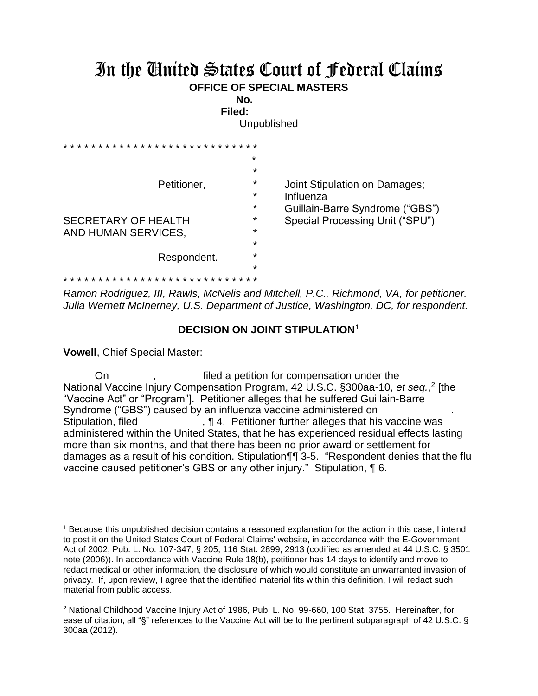## In the United States Court of Federal Claims **OFFICE OF SPECIAL MASTERS**

**No.** 

**Filed:**  Unpublished

| $+ +$<br>* * * * * *       |         |                                 |
|----------------------------|---------|---------------------------------|
|                            | $\star$ |                                 |
| Petitioner,                | *       |                                 |
|                            | *       | Joint Stipulation on Damages;   |
|                            | *       | Influenza                       |
|                            | *       | Guillain-Barre Syndrome ("GBS") |
| <b>SECRETARY OF HEALTH</b> | $\star$ | Special Processing Unit ("SPU") |
| AND HUMAN SERVICES,        | $\star$ |                                 |
|                            | $\star$ |                                 |
| Respondent.                | $\star$ |                                 |
|                            | $\star$ |                                 |
|                            |         |                                 |

*Ramon Rodriguez, III, Rawls, McNelis and Mitchell, P.C., Richmond, VA, for petitioner. Julia Wernett McInerney, U.S. Department of Justice, Washington, DC, for respondent.*

## **DECISION ON JOINT STIPULATION**

**Vowell**, Chief Special Master:

 $\overline{a}$ 

On , filed a petition for compensation under the National Vaccine Injury Compensation Program, 42 U.S.C. §300aa-10, *et seq.*,<sup>2</sup> [the "Vaccine Act" or "Program"]. Petitioner alleges that he suffered Guillain-Barre Syndrome ("GBS") caused by an influenza vaccine administered on . Stipulation, filed **The Contract of Table 1. Petitioner further alleges that his vaccine was** administered within the United States, that he has experienced residual effects lasting more than six months, and that there has been no prior award or settlement for damages as a result of his condition. Stipulation¶¶ 3-5. "Respondent denies that the flu vaccine caused petitioner's GBS or any other injury." Stipulation, ¶ 6.

<sup>1</sup> Because this unpublished decision contains a reasoned explanation for the action in this case, I intend to post it on the United States Court of Federal Claims' website, in accordance with the E-Government Act of 2002, Pub. L. No. 107-347, § 205, 116 Stat. 2899, 2913 (codified as amended at 44 U.S.C. § 3501 note (2006)). In accordance with Vaccine Rule 18(b), petitioner has 14 days to identify and move to redact medical or other information, the disclosure of which would constitute an unwarranted invasion of privacy. If, upon review, I agree that the identified material fits within this definition, I will redact such material from public access.

<sup>2</sup> National Childhood Vaccine Injury Act of 1986, Pub. L. No. 99-660, 100 Stat. 3755. Hereinafter, for ease of citation, all "§" references to the Vaccine Act will be to the pertinent subparagraph of 42 U.S.C. § 300aa (2012).